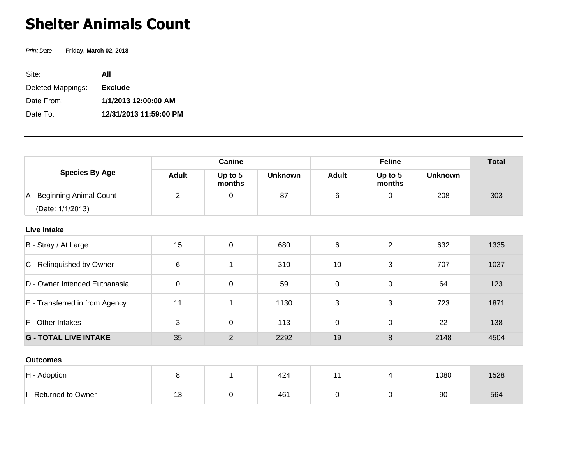## **Shelter Animals Count**

Print Date **Friday, March 02, 2018**

| Site:             | ΑII                    |
|-------------------|------------------------|
| Deleted Mappings: | <b>Exclude</b>         |
| Date From:        | 1/1/2013 12:00:00 AM   |
| Date To:          | 12/31/2013 11:59:00 PM |

| <b>Species By Age</b>          | Canine         |                   |                | <b>Feline</b> |                   |                | <b>Total</b> |
|--------------------------------|----------------|-------------------|----------------|---------------|-------------------|----------------|--------------|
|                                | <b>Adult</b>   | Up to 5<br>months | <b>Unknown</b> | <b>Adult</b>  | Up to 5<br>months | <b>Unknown</b> |              |
| A - Beginning Animal Count     | $\overline{2}$ | 0                 | 87             | 6             | 0                 | 208            | 303          |
| (Date: 1/1/2013)               |                |                   |                |               |                   |                |              |
| <b>Live Intake</b>             |                |                   |                |               |                   |                |              |
| B - Stray / At Large           | 15             | $\boldsymbol{0}$  | 680            | $\,6\,$       | $\overline{2}$    | 632            | 1335         |
| C - Relinquished by Owner      | 6              | 1                 | 310            | 10            | 3                 | 707            | 1037         |
| D - Owner Intended Euthanasia  | 0              | $\mathbf 0$       | 59             | 0             | 0                 | 64             | 123          |
| E - Transferred in from Agency | 11             | 1                 | 1130           | 3             | 3                 | 723            | 1871         |
| F - Other Intakes              | 3              | $\mathbf 0$       | 113            | $\mathbf 0$   | 0                 | 22             | 138          |
| <b>G - TOTAL LIVE INTAKE</b>   | 35             | $\overline{2}$    | 2292           | 19            | 8                 | 2148           | 4504         |
| <b>Outcomes</b>                |                |                   |                |               |                   |                |              |
| H - Adoption                   | 8              | $\mathbf{1}$      | 424            | 11            | $\overline{4}$    | 1080           | 1528         |
| I - Returned to Owner          | 13             | 0                 | 461            | $\mathbf 0$   | $\mathbf 0$       | 90             | 564          |